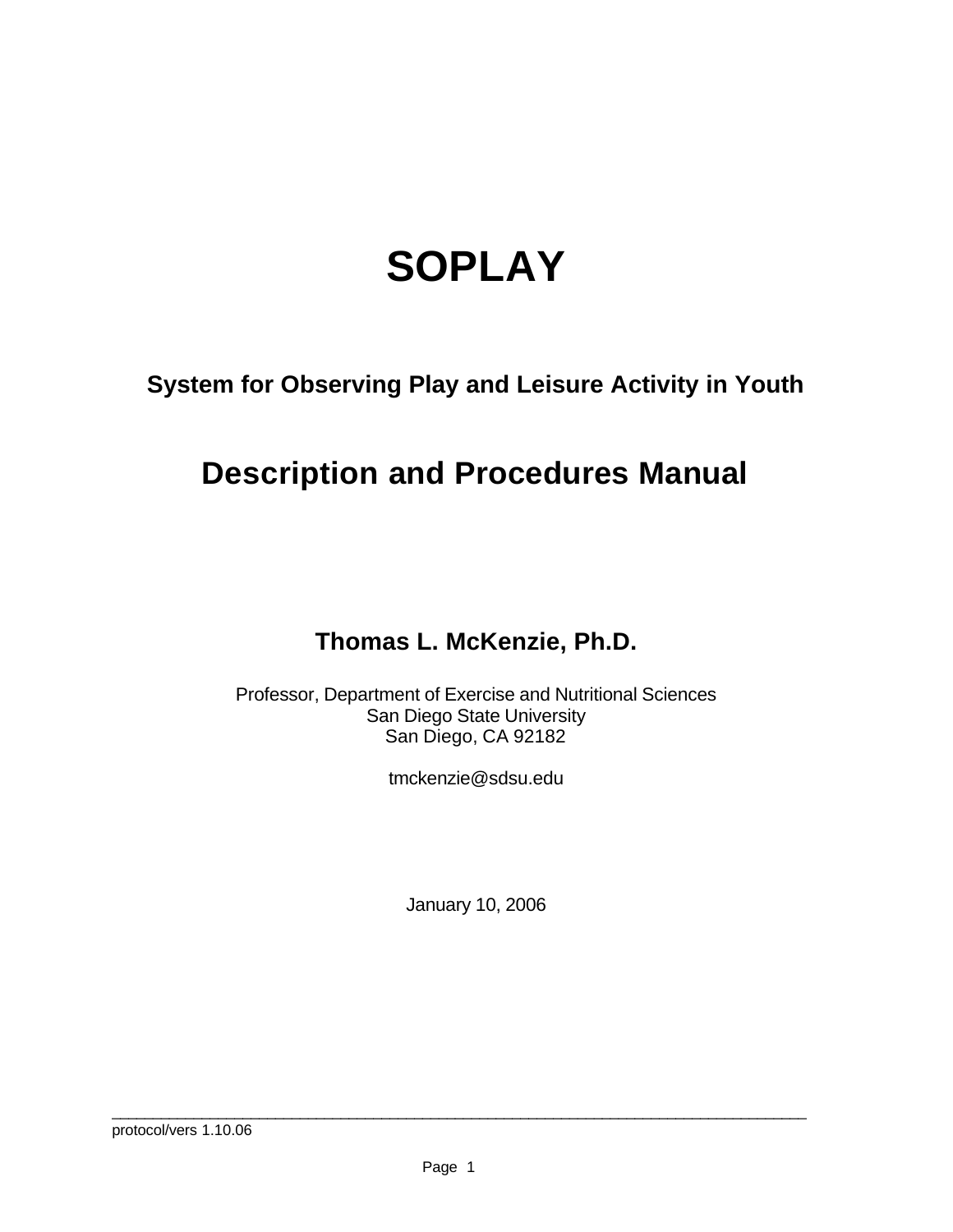# **SOPLAY**

**System for Observing Play and Leisure Activity in Youth**

# **Description and Procedures Manual**

### **Thomas L. McKenzie, Ph.D.**

Professor, Department of Exercise and Nutritional Sciences San Diego State University San Diego, CA 92182

tmckenzie@sdsu.edu

January 10, 2006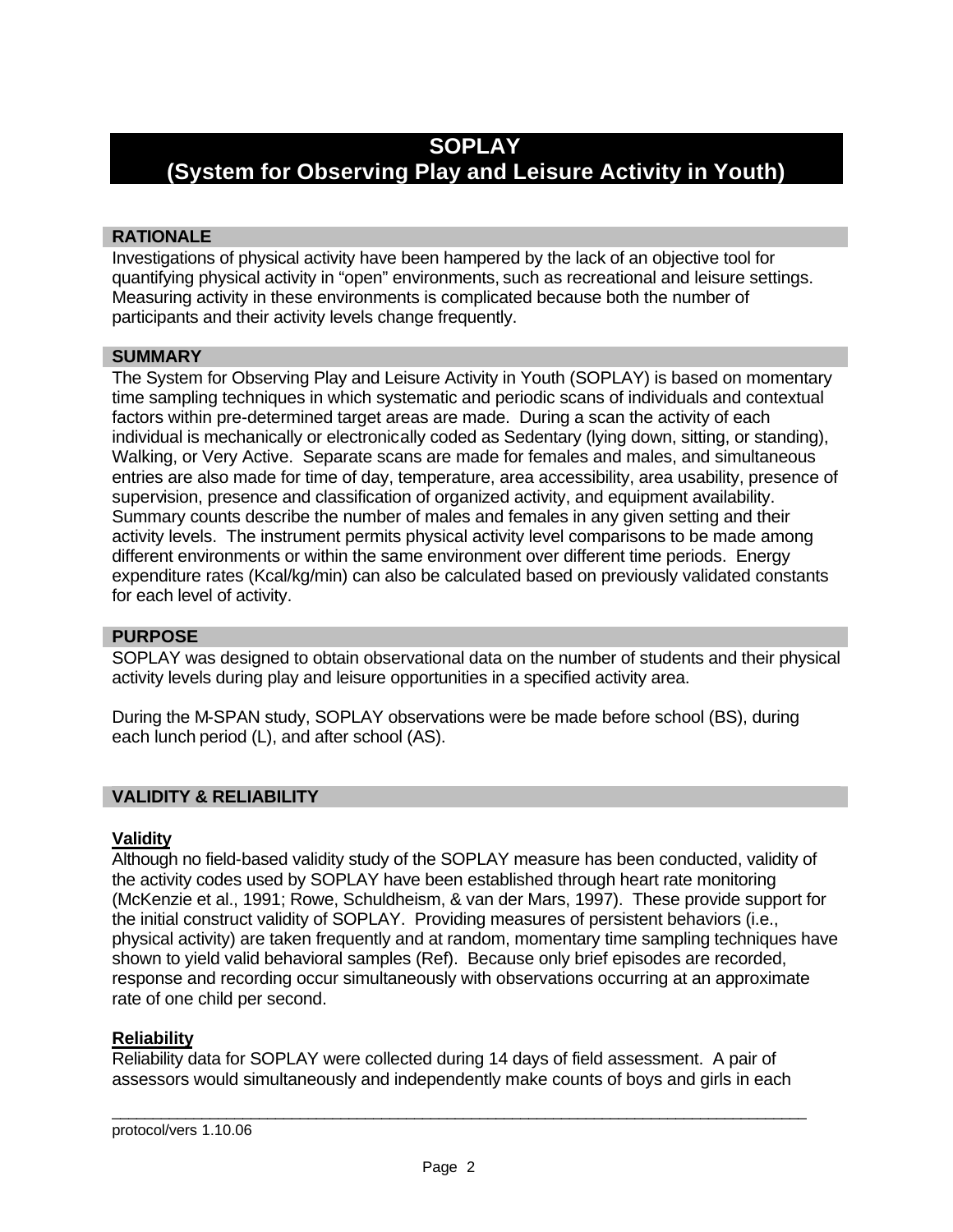### **SOPLAY**

## **(System for Observing Play and Leisure Activity in Youth)**

#### **RATIONALE**

Investigations of physical activity have been hampered by the lack of an objective tool for quantifying physical activity in "open" environments, such as recreational and leisure settings. Measuring activity in these environments is complicated because both the number of participants and their activity levels change frequently.

#### **SUMMARY**

The System for Observing Play and Leisure Activity in Youth (SOPLAY) is based on momentary time sampling techniques in which systematic and periodic scans of individuals and contextual factors within pre-determined target areas are made. During a scan the activity of each individual is mechanically or electronically coded as Sedentary (lying down, sitting, or standing), Walking, or Very Active. Separate scans are made for females and males, and simultaneous entries are also made for time of day, temperature, area accessibility, area usability, presence of supervision, presence and classification of organized activity, and equipment availability. Summary counts describe the number of males and females in any given setting and their activity levels. The instrument permits physical activity level comparisons to be made among different environments or within the same environment over different time periods. Energy expenditure rates (Kcal/kg/min) can also be calculated based on previously validated constants for each level of activity.

#### **PURPOSE**

SOPLAY was designed to obtain observational data on the number of students and their physical activity levels during play and leisure opportunities in a specified activity area.

During the M-SPAN study, SOPLAY observations were be made before school (BS), during each lunch period (L), and after school (AS).

#### **VALIDITY & RELIABILITY**

#### **Validity**

Although no field-based validity study of the SOPLAY measure has been conducted, validity of the activity codes used by SOPLAY have been established through heart rate monitoring (McKenzie et al., 1991; Rowe, Schuldheism, & van der Mars, 1997). These provide support for the initial construct validity of SOPLAY. Providing measures of persistent behaviors (i.e., physical activity) are taken frequently and at random, momentary time sampling techniques have shown to yield valid behavioral samples (Ref). Because only brief episodes are recorded, response and recording occur simultaneously with observations occurring at an approximate rate of one child per second.

#### **Reliability**

Reliability data for SOPLAY were collected during 14 days of field assessment. A pair of assessors would simultaneously and independently make counts of boys and girls in each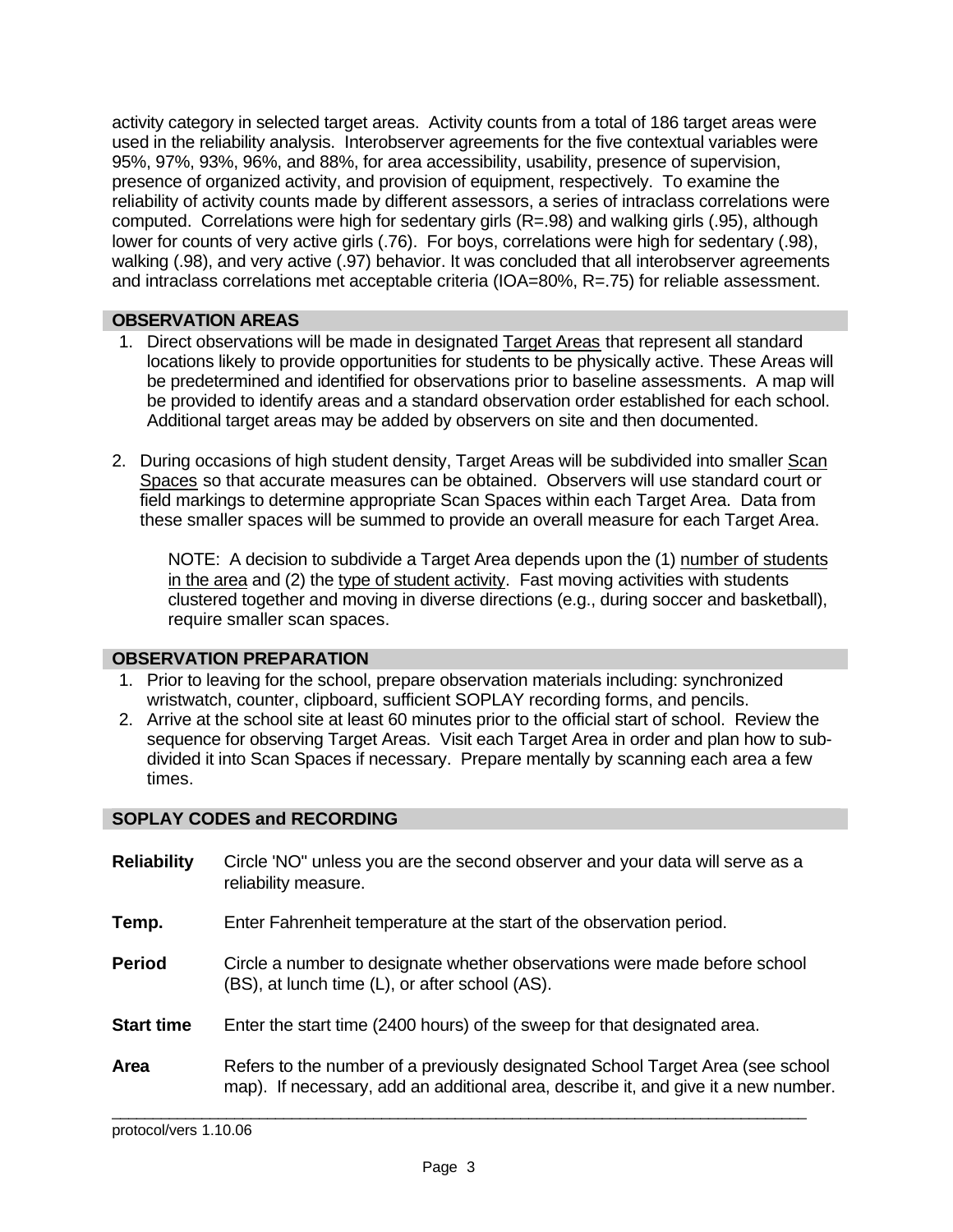activity category in selected target areas. Activity counts from a total of 186 target areas were used in the reliability analysis. Interobserver agreements for the five contextual variables were 95%, 97%, 93%, 96%, and 88%, for area accessibility, usability, presence of supervision, presence of organized activity, and provision of equipment, respectively. To examine the reliability of activity counts made by different assessors, a series of intraclass correlations were computed. Correlations were high for sedentary girls (R=.98) and walking girls (.95), although lower for counts of very active girls (.76). For boys, correlations were high for sedentary (.98), walking (.98), and very active (.97) behavior. It was concluded that all interobserver agreements and intraclass correlations met acceptable criteria (IOA=80%, R=.75) for reliable assessment.

#### **OBSERVATION AREAS**

- 1. Direct observations will be made in designated Target Areas that represent all standard locations likely to provide opportunities for students to be physically active. These Areas will be predetermined and identified for observations prior to baseline assessments. A map will be provided to identify areas and a standard observation order established for each school. Additional target areas may be added by observers on site and then documented.
- 2. During occasions of high student density, Target Areas will be subdivided into smaller Scan Spaces so that accurate measures can be obtained. Observers will use standard court or field markings to determine appropriate Scan Spaces within each Target Area. Data from these smaller spaces will be summed to provide an overall measure for each Target Area.

NOTE: A decision to subdivide a Target Area depends upon the (1) number of students in the area and (2) the type of student activity. Fast moving activities with students clustered together and moving in diverse directions (e.g., during soccer and basketball), require smaller scan spaces.

#### **OBSERVATION PREPARATION**

- 1. Prior to leaving for the school, prepare observation materials including: synchronized wristwatch, counter, clipboard, sufficient SOPLAY recording forms, and pencils.
- 2. Arrive at the school site at least 60 minutes prior to the official start of school. Review the sequence for observing Target Areas. Visit each Target Area in order and plan how to subdivided it into Scan Spaces if necessary. Prepare mentally by scanning each area a few times.

#### **SOPLAY CODES and RECORDING**

| <b>Reliability</b> | Circle 'NO" unless you are the second observer and your data will serve as a<br>reliability measure.                                                                 |
|--------------------|----------------------------------------------------------------------------------------------------------------------------------------------------------------------|
| Temp.              | Enter Fahrenheit temperature at the start of the observation period.                                                                                                 |
| <b>Period</b>      | Circle a number to designate whether observations were made before school<br>(BS), at lunch time (L), or after school (AS).                                          |
| <b>Start time</b>  | Enter the start time (2400 hours) of the sweep for that designated area.                                                                                             |
| Area               | Refers to the number of a previously designated School Target Area (see school<br>map). If necessary, add an additional area, describe it, and give it a new number. |

protocol/vers 1.10.06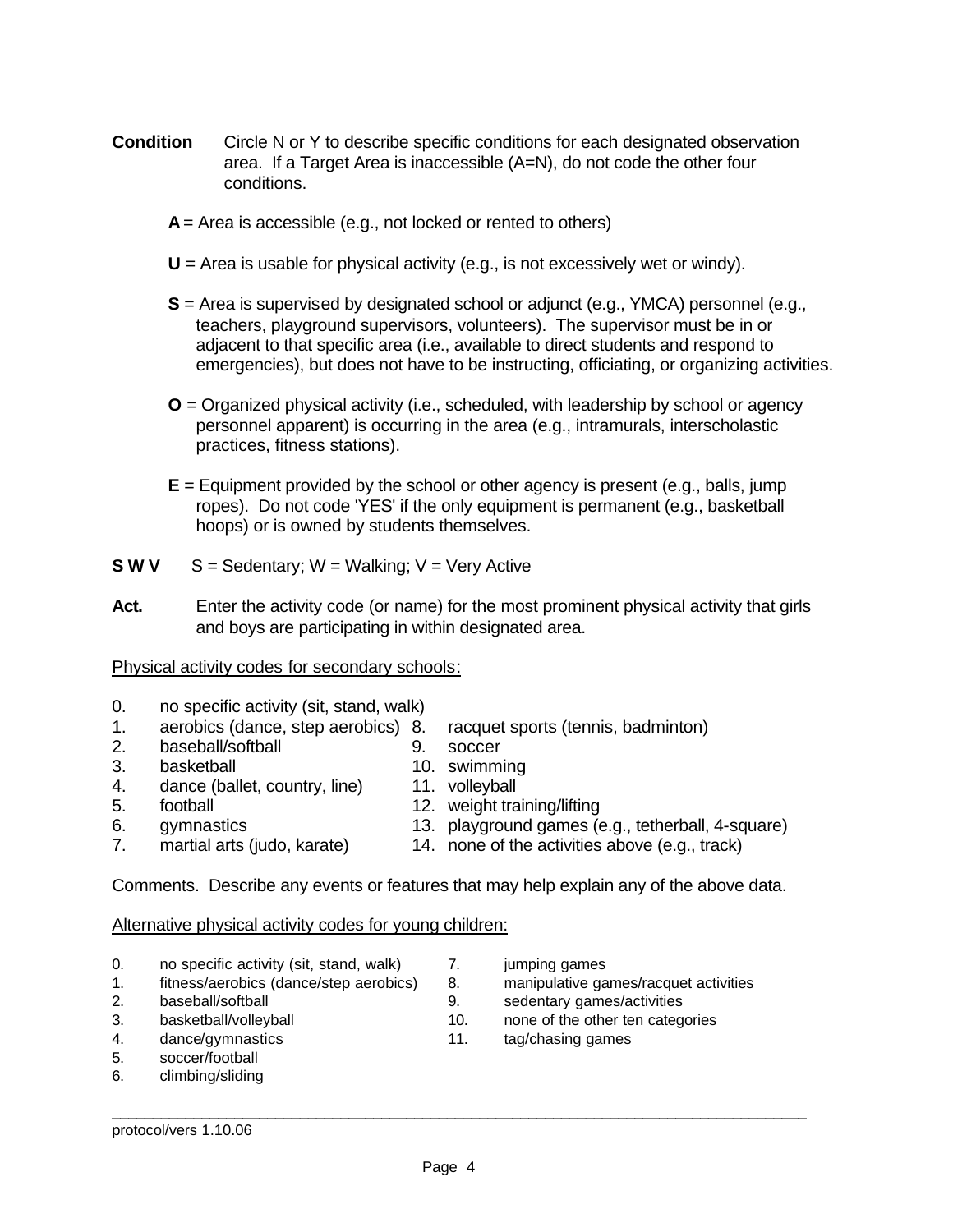- **Condition** Circle N or Y to describe specific conditions for each designated observation area. If a Target Area is inaccessible (A=N), do not code the other four conditions.
	- **A** = Area is accessible (e.g., not locked or rented to others)
	- **U** = Area is usable for physical activity (e.g., is not excessively wet or windy).
	- **S** = Area is supervised by designated school or adjunct (e.g., YMCA) personnel (e.g., teachers, playground supervisors, volunteers). The supervisor must be in or adjacent to that specific area (i.e., available to direct students and respond to emergencies), but does not have to be instructing, officiating, or organizing activities.
	- **O** = Organized physical activity (i.e., scheduled, with leadership by school or agency personnel apparent) is occurring in the area (e.g., intramurals, interscholastic practices, fitness stations).
	- **E** = Equipment provided by the school or other agency is present (e.g., balls, jump ropes). Do not code 'YES' if the only equipment is permanent (e.g., basketball hoops) or is owned by students themselves.
- **S W V**  $S =$  Sedentary; W = Walking; V = Very Active
- Act. Enter the activity code (or name) for the most prominent physical activity that girls and boys are participating in within designated area.

Physical activity codes for secondary schools:

- 0. no specific activity (sit, stand, walk)
- 1. aerobics (dance, step aerobics) 8. racquet sports (tennis, badminton)
- 2. baseball/softball 9. soccer
- 3. basketball 10. swimming
- 4. dance (ballet, country, line) 11. volleyball
- 5. football 12. weight training/lifting
	-
- 
- 6. gymnastics 13. playground games (e.g., tetherball, 4-square) 7. martial arts (judo, karate) 14. none of the activities above (e.g., track)

Comments. Describe any events or features that may help explain any of the above data.

#### Alternative physical activity codes for young children:

- 0. no specific activity (sit, stand, walk) 7. jumping games
- 
- 
- 
- 5. soccer/football
- 6. climbing/sliding
- 
- 1. fitness/aerobics (dance/step aerobics) 8. manipulative games/racquet activities
- 2. baseball/softball 9. sedentary games/activities
- 3. basketball/volleyball 10. none of the other ten categories
- 4. dance/gymnastics 11. tag/chasing games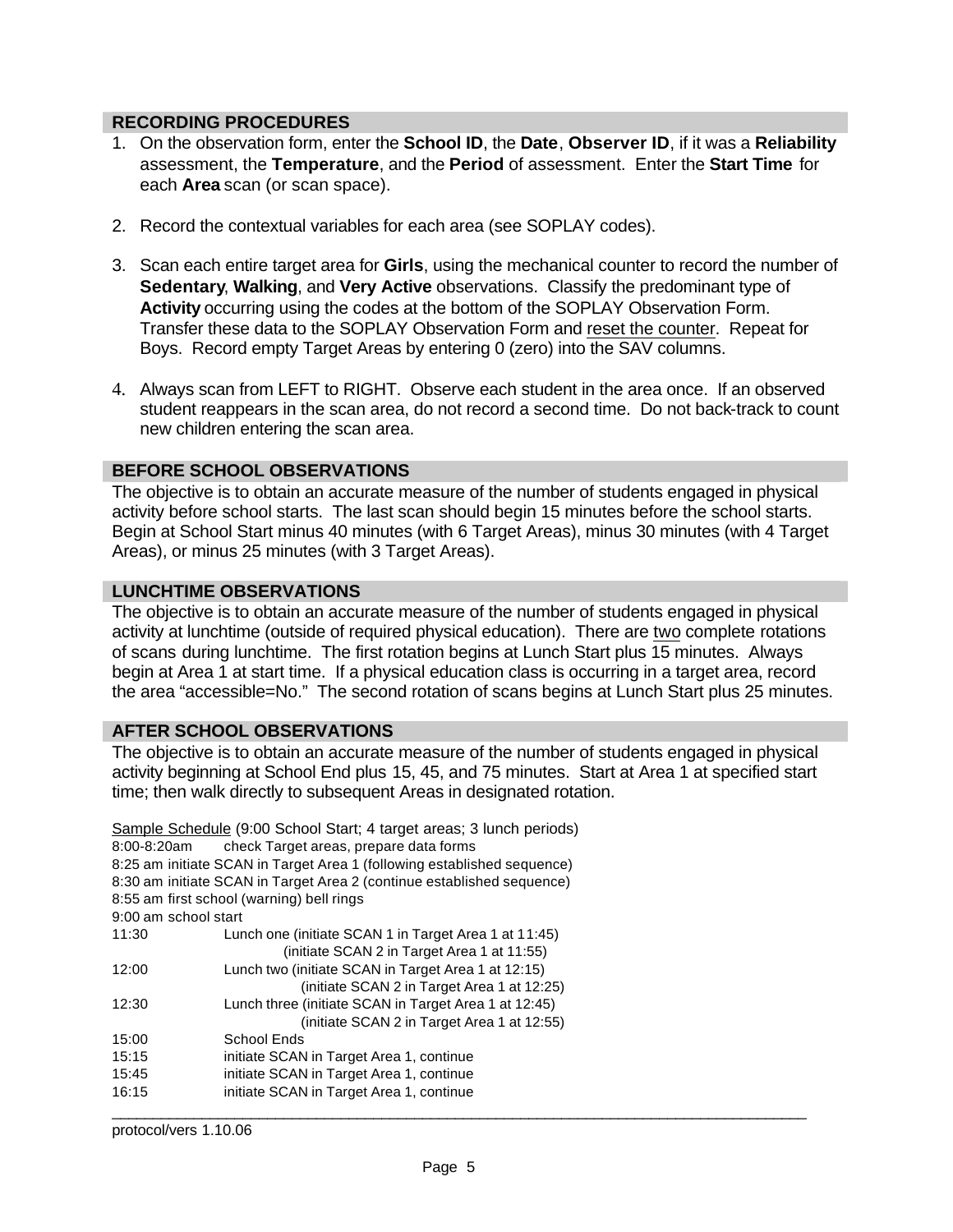#### **RECORDING PROCEDURES**

- 1. On the observation form, enter the **School ID**, the **Date**, **Observer ID**, if it was a **Reliability** assessment, the **Temperature**, and the **Period** of assessment. Enter the **Start Time** for each **Area** scan (or scan space).
- 2. Record the contextual variables for each area (see SOPLAY codes).
- 3. Scan each entire target area for **Girls**, using the mechanical counter to record the number of **Sedentary**, **Walking**, and **Very Active** observations. Classify the predominant type of **Activity** occurring using the codes at the bottom of the SOPLAY Observation Form. Transfer these data to the SOPLAY Observation Form and reset the counter. Repeat for Boys. Record empty Target Areas by entering 0 (zero) into the SAV columns.
- 4. Always scan from LEFT to RIGHT. Observe each student in the area once. If an observed student reappears in the scan area, do not record a second time. Do not back-track to count new children entering the scan area.

#### **BEFORE SCHOOL OBSERVATIONS**

The objective is to obtain an accurate measure of the number of students engaged in physical activity before school starts. The last scan should begin 15 minutes before the school starts. Begin at School Start minus 40 minutes (with 6 Target Areas), minus 30 minutes (with 4 Target Areas), or minus 25 minutes (with 3 Target Areas).

#### **LUNCHTIME OBSERVATIONS**

The objective is to obtain an accurate measure of the number of students engaged in physical activity at lunchtime (outside of required physical education). There are two complete rotations of scans during lunchtime. The first rotation begins at Lunch Start plus 15 minutes. Always begin at Area 1 at start time. If a physical education class is occurring in a target area, record the area "accessible=No." The second rotation of scans begins at Lunch Start plus 25 minutes.

#### **AFTER SCHOOL OBSERVATIONS**

The objective is to obtain an accurate measure of the number of students engaged in physical activity beginning at School End plus 15, 45, and 75 minutes. Start at Area 1 at specified start time; then walk directly to subsequent Areas in designated rotation.

|                      | Sample Schedule (9:00 School Start; 4 target areas; 3 lunch periods)    |  |
|----------------------|-------------------------------------------------------------------------|--|
| 8:00-8:20am          | check Target areas, prepare data forms                                  |  |
|                      | 8:25 am initiate SCAN in Target Area 1 (following established sequence) |  |
|                      | 8:30 am initiate SCAN in Target Area 2 (continue established sequence)  |  |
|                      | 8:55 am first school (warning) bell rings                               |  |
| 9:00 am school start |                                                                         |  |
| 11:30                | Lunch one (initiate SCAN 1 in Target Area 1 at 11:45)                   |  |
|                      | (initiate SCAN 2 in Target Area 1 at 11:55)                             |  |
| 12:00                | Lunch two (initiate SCAN in Target Area 1 at 12:15)                     |  |
|                      | (initiate SCAN 2 in Target Area 1 at 12:25)                             |  |
| 12:30                | Lunch three (initiate SCAN in Target Area 1 at 12:45)                   |  |
|                      | (initiate SCAN 2 in Target Area 1 at 12:55)                             |  |
| 15:00                | School Ends                                                             |  |
| 15:15                | initiate SCAN in Target Area 1, continue                                |  |
| 15:45                | initiate SCAN in Target Area 1, continue                                |  |
| 16:15                | initiate SCAN in Target Area 1, continue                                |  |
|                      |                                                                         |  |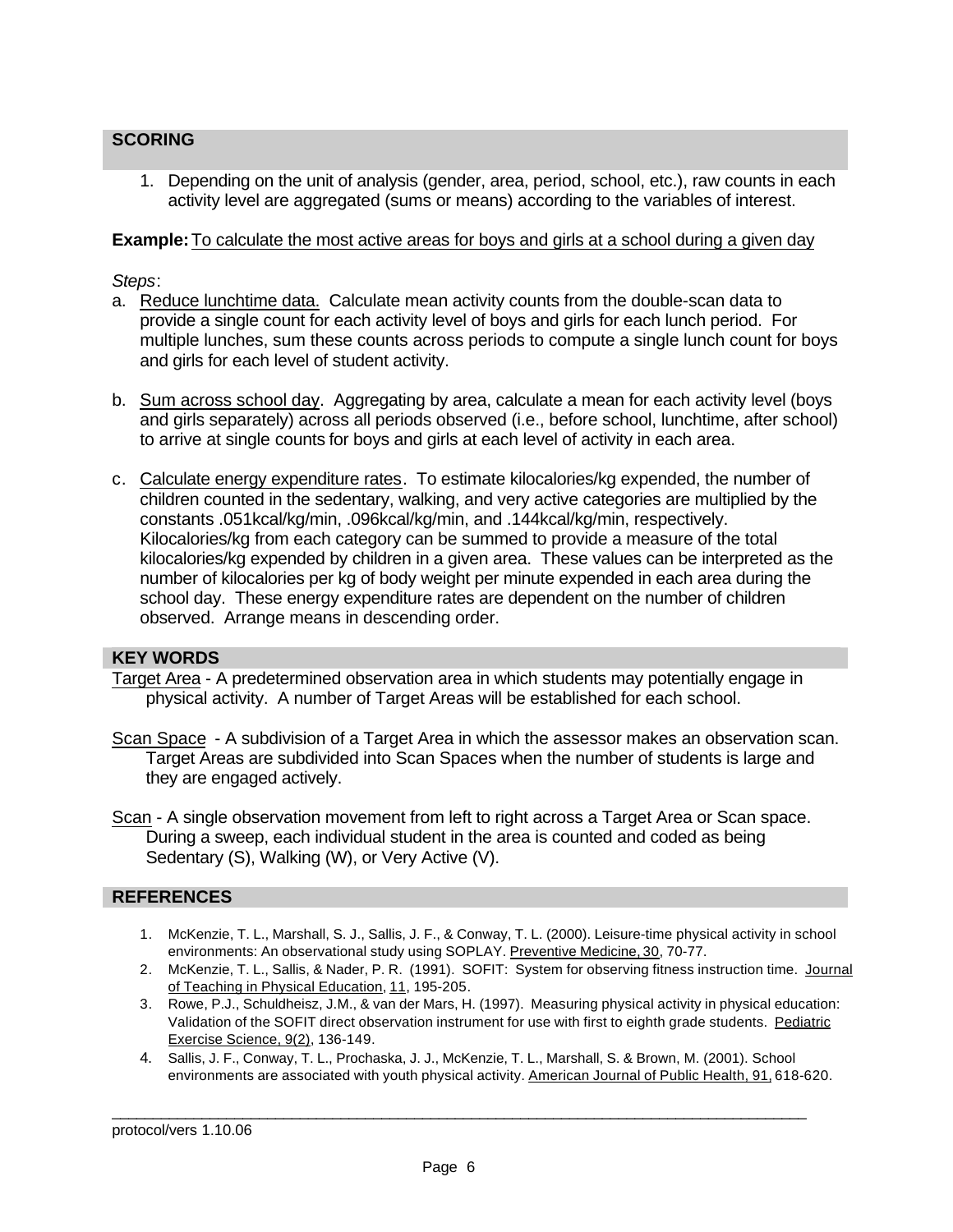#### **SCORING**

1. Depending on the unit of analysis (gender, area, period, school, etc.), raw counts in each activity level are aggregated (sums or means) according to the variables of interest.

#### **Example:**To calculate the most active areas for boys and girls at a school during a given day

#### *Steps*:

- a. Reduce lunchtime data. Calculate mean activity counts from the double-scan data to provide a single count for each activity level of boys and girls for each lunch period. For multiple lunches, sum these counts across periods to compute a single lunch count for boys and girls for each level of student activity.
- b. Sum across school day. Aggregating by area, calculate a mean for each activity level (boys and girls separately) across all periods observed (i.e., before school, lunchtime, after school) to arrive at single counts for boys and girls at each level of activity in each area.
- c. Calculate energy expenditure rates. To estimate kilocalories/kg expended, the number of children counted in the sedentary, walking, and very active categories are multiplied by the constants .051kcal/kg/min, .096kcal/kg/min, and .144kcal/kg/min, respectively. Kilocalories/kg from each category can be summed to provide a measure of the total kilocalories/kg expended by children in a given area. These values can be interpreted as the number of kilocalories per kg of body weight per minute expended in each area during the school day. These energy expenditure rates are dependent on the number of children observed. Arrange means in descending order.

#### **KEY WORDS**

Target Area - A predetermined observation area in which students may potentially engage in physical activity. A number of Target Areas will be established for each school.

- Scan Space A subdivision of a Target Area in which the assessor makes an observation scan. Target Areas are subdivided into Scan Spaces when the number of students is large and they are engaged actively.
- Scan A single observation movement from left to right across a Target Area or Scan space. During a sweep, each individual student in the area is counted and coded as being Sedentary (S), Walking (W), or Very Active (V).

#### **REFERENCES**

- 1. McKenzie, T. L., Marshall, S. J., Sallis, J. F., & Conway, T. L. (2000). Leisure-time physical activity in school environments: An observational study using SOPLAY. Preventive Medicine, 30, 70-77.
- 2. McKenzie, T. L., Sallis, & Nader, P. R. (1991). SOFIT: System for observing fitness instruction time. Journal of Teaching in Physical Education, 11, 195-205.
- 3. Rowe, P.J., Schuldheisz, J.M., & van der Mars, H. (1997). Measuring physical activity in physical education: Validation of the SOFIT direct observation instrument for use with first to eighth grade students. Pediatric Exercise Science, 9(2), 136-149.
- 4. Sallis, J. F., Conway, T. L., Prochaska, J. J., McKenzie, T. L., Marshall, S. & Brown, M. (2001). School environments are associated with youth physical activity. American Journal of Public Health, 91, 618-620.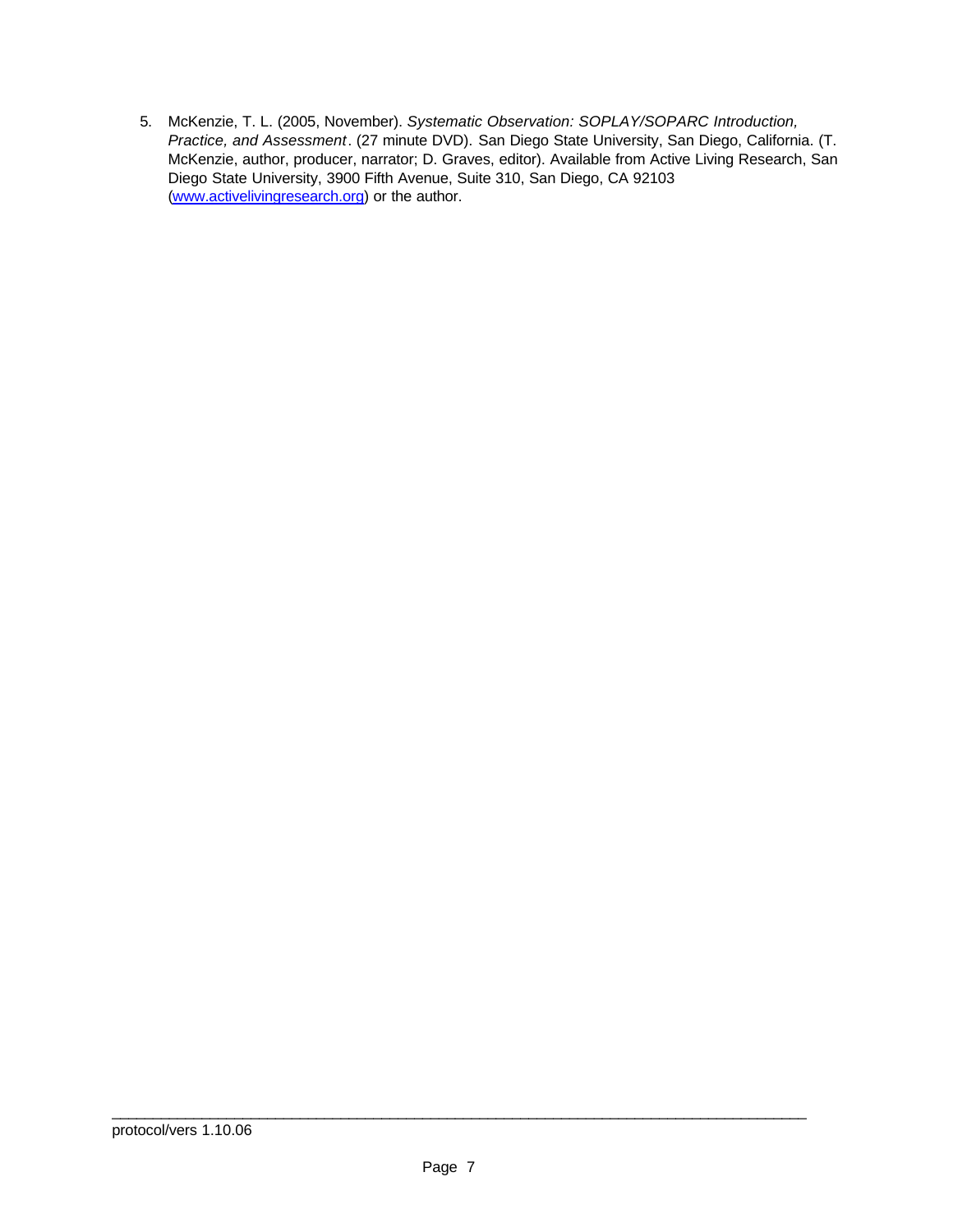5. McKenzie, T. L. (2005, November). *Systematic Observation: SOPLAY/SOPARC Introduction, Practice, and Assessment*. (27 minute DVD). San Diego State University, San Diego, California. (T. McKenzie, author, producer, narrator; D. Graves, editor). Available from Active Living Research, San Diego State University, 3900 Fifth Avenue, Suite 310, San Diego, CA 92103 (www.activelivingresearch.org) or the author.